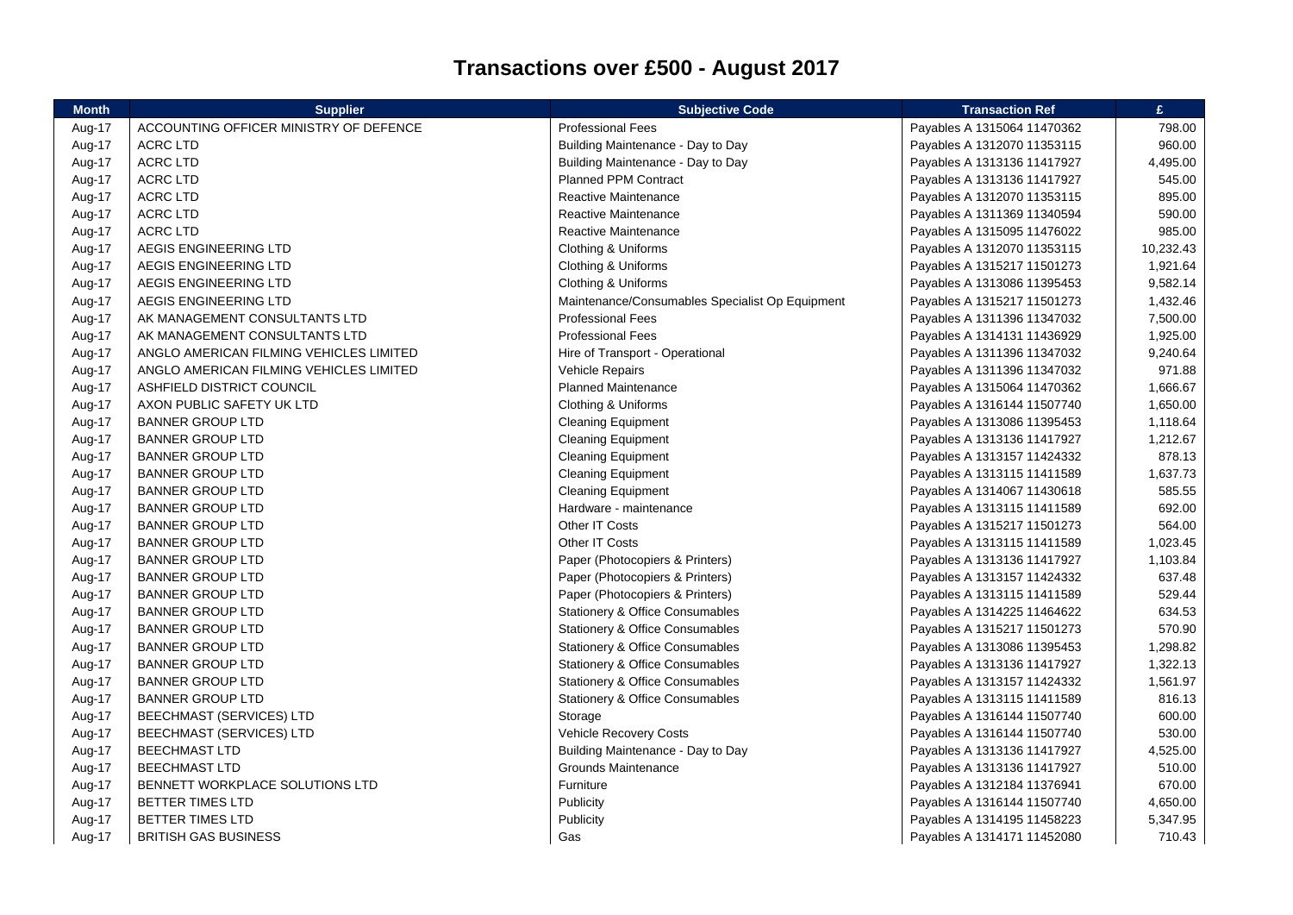## **Transactions over £500 - August 2017**

| <b>Month</b> | <b>Supplier</b>                         | <b>Subjective Code</b>                          | <b>Transaction Ref</b>      | £.        |
|--------------|-----------------------------------------|-------------------------------------------------|-----------------------------|-----------|
| Aug-17       | ACCOUNTING OFFICER MINISTRY OF DEFENCE  | <b>Professional Fees</b>                        | Payables A 1315064 11470362 | 798.00    |
| Aug-17       | <b>ACRC LTD</b>                         | Building Maintenance - Day to Day               | Payables A 1312070 11353115 | 960.00    |
| Aug-17       | <b>ACRC LTD</b>                         | Building Maintenance - Day to Day               | Payables A 1313136 11417927 | 4,495.00  |
| Aug-17       | <b>ACRC LTD</b>                         | <b>Planned PPM Contract</b>                     | Payables A 1313136 11417927 | 545.00    |
| Aug-17       | <b>ACRC LTD</b>                         | Reactive Maintenance                            | Payables A 1312070 11353115 | 895.00    |
| Aug-17       | <b>ACRC LTD</b>                         | <b>Reactive Maintenance</b>                     | Payables A 1311369 11340594 | 590.00    |
| Aug-17       | <b>ACRC LTD</b>                         | Reactive Maintenance                            | Payables A 1315095 11476022 | 985.00    |
| Aug-17       | AEGIS ENGINEERING LTD                   | Clothing & Uniforms                             | Payables A 1312070 11353115 | 10,232.43 |
| Aug-17       | AEGIS ENGINEERING LTD                   | Clothing & Uniforms                             | Payables A 1315217 11501273 | 1,921.64  |
| Aug-17       | AEGIS ENGINEERING LTD                   | Clothing & Uniforms                             | Payables A 1313086 11395453 | 9,582.14  |
| Aug-17       | AEGIS ENGINEERING LTD                   | Maintenance/Consumables Specialist Op Equipment | Payables A 1315217 11501273 | 1,432.46  |
| Aug-17       | AK MANAGEMENT CONSULTANTS LTD           | <b>Professional Fees</b>                        | Payables A 1311396 11347032 | 7,500.00  |
| Aug-17       | AK MANAGEMENT CONSULTANTS LTD           | <b>Professional Fees</b>                        | Payables A 1314131 11436929 | 1,925.00  |
| Aug-17       | ANGLO AMERICAN FILMING VEHICLES LIMITED | Hire of Transport - Operational                 | Payables A 1311396 11347032 | 9,240.64  |
| Aug-17       | ANGLO AMERICAN FILMING VEHICLES LIMITED | Vehicle Repairs                                 | Payables A 1311396 11347032 | 971.88    |
| Aug-17       | ASHFIELD DISTRICT COUNCIL               | <b>Planned Maintenance</b>                      | Payables A 1315064 11470362 | 1,666.67  |
| Aug-17       | AXON PUBLIC SAFETY UK LTD               | Clothing & Uniforms                             | Payables A 1316144 11507740 | 1,650.00  |
| Aug-17       | <b>BANNER GROUP LTD</b>                 | <b>Cleaning Equipment</b>                       | Payables A 1313086 11395453 | 1,118.64  |
| Aug-17       | <b>BANNER GROUP LTD</b>                 | <b>Cleaning Equipment</b>                       | Payables A 1313136 11417927 | 1,212.67  |
| Aug-17       | <b>BANNER GROUP LTD</b>                 | <b>Cleaning Equipment</b>                       | Payables A 1313157 11424332 | 878.13    |
| Aug-17       | <b>BANNER GROUP LTD</b>                 | <b>Cleaning Equipment</b>                       | Payables A 1313115 11411589 | 1,637.73  |
| Aug-17       | <b>BANNER GROUP LTD</b>                 | <b>Cleaning Equipment</b>                       | Payables A 1314067 11430618 | 585.55    |
| Aug-17       | <b>BANNER GROUP LTD</b>                 | Hardware - maintenance                          | Payables A 1313115 11411589 | 692.00    |
| Aug-17       | <b>BANNER GROUP LTD</b>                 | Other IT Costs                                  | Payables A 1315217 11501273 | 564.00    |
| Aug-17       | <b>BANNER GROUP LTD</b>                 | Other IT Costs                                  | Payables A 1313115 11411589 | 1,023.45  |
| Aug-17       | <b>BANNER GROUP LTD</b>                 | Paper (Photocopiers & Printers)                 | Payables A 1313136 11417927 | 1,103.84  |
| Aug-17       | <b>BANNER GROUP LTD</b>                 | Paper (Photocopiers & Printers)                 | Payables A 1313157 11424332 | 637.48    |
| Aug-17       | <b>BANNER GROUP LTD</b>                 | Paper (Photocopiers & Printers)                 | Payables A 1313115 11411589 | 529.44    |
| Aug-17       | <b>BANNER GROUP LTD</b>                 | Stationery & Office Consumables                 | Payables A 1314225 11464622 | 634.53    |
| Aug-17       | <b>BANNER GROUP LTD</b>                 | <b>Stationery &amp; Office Consumables</b>      | Payables A 1315217 11501273 | 570.90    |
| Aug-17       | <b>BANNER GROUP LTD</b>                 | <b>Stationery &amp; Office Consumables</b>      | Payables A 1313086 11395453 | 1,298.82  |
| Aug-17       | <b>BANNER GROUP LTD</b>                 | Stationery & Office Consumables                 | Payables A 1313136 11417927 | 1,322.13  |
| Aug-17       | <b>BANNER GROUP LTD</b>                 | Stationery & Office Consumables                 | Payables A 1313157 11424332 | 1,561.97  |
| Aug-17       | <b>BANNER GROUP LTD</b>                 | <b>Stationery &amp; Office Consumables</b>      | Payables A 1313115 11411589 | 816.13    |
| Aug-17       | <b>BEECHMAST (SERVICES) LTD</b>         | Storage                                         | Payables A 1316144 11507740 | 600.00    |
| Aug-17       | <b>BEECHMAST (SERVICES) LTD</b>         | Vehicle Recovery Costs                          | Payables A 1316144 11507740 | 530.00    |
| Aug-17       | <b>BEECHMAST LTD</b>                    | Building Maintenance - Day to Day               | Payables A 1313136 11417927 | 4,525.00  |
| Aug-17       | <b>BEECHMAST LTD</b>                    | Grounds Maintenance                             | Payables A 1313136 11417927 | 510.00    |
| Aug-17       | BENNETT WORKPLACE SOLUTIONS LTD         | Furniture                                       | Payables A 1312184 11376941 | 670.00    |
| Aug-17       | BETTER TIMES LTD                        | Publicity                                       | Payables A 1316144 11507740 | 4,650.00  |
| Aug-17       | BETTER TIMES LTD                        | Publicity                                       | Payables A 1314195 11458223 | 5,347.95  |
| Aug-17       | <b>BRITISH GAS BUSINESS</b>             | Gas                                             | Payables A 1314171 11452080 | 710.43    |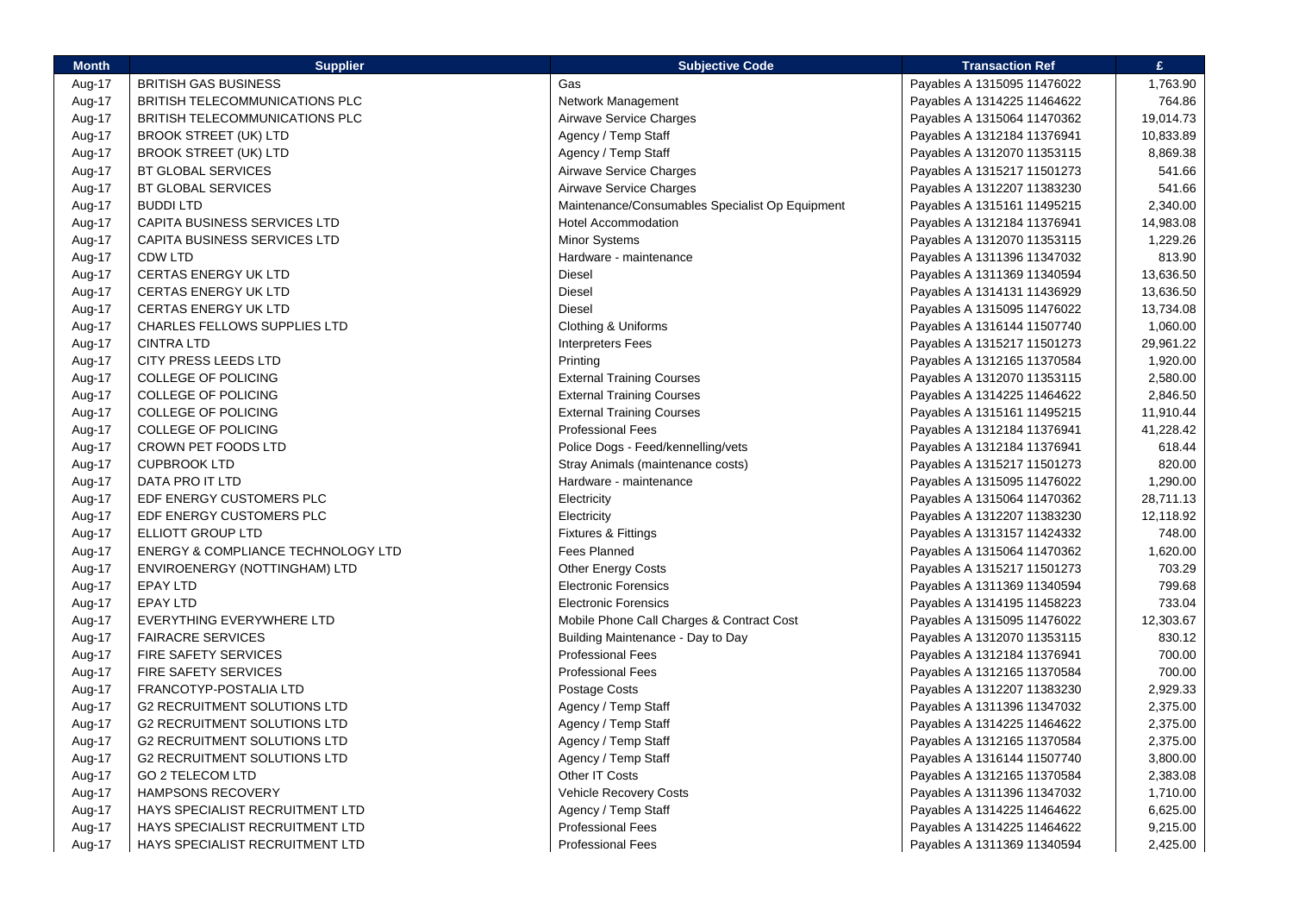| <b>Month</b>     | <b>Supplier</b>                     | <b>Subjective Code</b>                          | <b>Transaction Ref</b>      | £.        |
|------------------|-------------------------------------|-------------------------------------------------|-----------------------------|-----------|
| Aug-17           | <b>BRITISH GAS BUSINESS</b>         | Gas                                             | Payables A 1315095 11476022 | 1,763.90  |
| Aug-17           | BRITISH TELECOMMUNICATIONS PLC      | Network Management                              | Payables A 1314225 11464622 | 764.86    |
| Aug-17           | BRITISH TELECOMMUNICATIONS PLC      | Airwave Service Charges                         | Payables A 1315064 11470362 | 19,014.73 |
| Aug-17           | <b>BROOK STREET (UK) LTD</b>        | Agency / Temp Staff                             | Payables A 1312184 11376941 | 10,833.89 |
| Aug-17           | <b>BROOK STREET (UK) LTD</b>        | Agency / Temp Staff                             | Payables A 1312070 11353115 | 8,869.38  |
| Aug-17           | <b>BT GLOBAL SERVICES</b>           | Airwave Service Charges                         | Payables A 1315217 11501273 | 541.66    |
| Aug-17           | <b>BT GLOBAL SERVICES</b>           | Airwave Service Charges                         | Payables A 1312207 11383230 | 541.66    |
| Aug-17           | <b>BUDDILTD</b>                     | Maintenance/Consumables Specialist Op Equipment | Payables A 1315161 11495215 | 2,340.00  |
| Aug-17           | CAPITA BUSINESS SERVICES LTD        | <b>Hotel Accommodation</b>                      | Payables A 1312184 11376941 | 14,983.08 |
| Aug-17           | CAPITA BUSINESS SERVICES LTD        | Minor Systems                                   | Payables A 1312070 11353115 | 1,229.26  |
| Aug-17           | <b>CDW LTD</b>                      | Hardware - maintenance                          | Payables A 1311396 11347032 | 813.90    |
| Aug-17           | CERTAS ENERGY UK LTD                | <b>Diesel</b>                                   | Payables A 1311369 11340594 | 13,636.50 |
| Aug-17           | <b>CERTAS ENERGY UK LTD</b>         | Diesel                                          | Payables A 1314131 11436929 | 13,636.50 |
| Aug-17           | <b>CERTAS ENERGY UK LTD</b>         | <b>Diesel</b>                                   | Payables A 1315095 11476022 | 13,734.08 |
| Aug-17           | CHARLES FELLOWS SUPPLIES LTD        | Clothing & Uniforms                             | Payables A 1316144 11507740 | 1,060.00  |
| Aug-17           | <b>CINTRA LTD</b>                   | <b>Interpreters Fees</b>                        | Payables A 1315217 11501273 | 29,961.22 |
| Aug-17           | CITY PRESS LEEDS LTD                | Printing                                        | Payables A 1312165 11370584 | 1,920.00  |
| Aug-17           | <b>COLLEGE OF POLICING</b>          | <b>External Training Courses</b>                | Payables A 1312070 11353115 | 2,580.00  |
| Aug-17           | <b>COLLEGE OF POLICING</b>          | <b>External Training Courses</b>                | Payables A 1314225 11464622 | 2,846.50  |
| Aug-17           | <b>COLLEGE OF POLICING</b>          | <b>External Training Courses</b>                | Payables A 1315161 11495215 | 11,910.44 |
| Aug-17           | <b>COLLEGE OF POLICING</b>          | <b>Professional Fees</b>                        | Payables A 1312184 11376941 | 41,228.42 |
| Aug-17           | CROWN PET FOODS LTD                 | Police Dogs - Feed/kennelling/vets              | Payables A 1312184 11376941 | 618.44    |
| Aug-17           | <b>CUPBROOK LTD</b>                 | Stray Animals (maintenance costs)               | Payables A 1315217 11501273 | 820.00    |
| Aug-17           | DATA PRO IT LTD                     | Hardware - maintenance                          | Payables A 1315095 11476022 | 1,290.00  |
| Aug-17           | EDF ENERGY CUSTOMERS PLC            | Electricity                                     | Payables A 1315064 11470362 | 28,711.13 |
| Aug-17           | EDF ENERGY CUSTOMERS PLC            | Electricity                                     | Payables A 1312207 11383230 | 12,118.92 |
| Aug-17           | ELLIOTT GROUP LTD                   | Fixtures & Fittings                             | Payables A 1313157 11424332 | 748.00    |
| Aug-17           | ENERGY & COMPLIANCE TECHNOLOGY LTD  | <b>Fees Planned</b>                             | Payables A 1315064 11470362 | 1,620.00  |
| Aug-17           | ENVIROENERGY (NOTTINGHAM) LTD       | <b>Other Energy Costs</b>                       | Payables A 1315217 11501273 | 703.29    |
| Aug-17           | <b>EPAY LTD</b>                     | <b>Electronic Forensics</b>                     | Payables A 1311369 11340594 | 799.68    |
| Aug-17           | <b>EPAY LTD</b>                     | <b>Electronic Forensics</b>                     | Payables A 1314195 11458223 | 733.04    |
| Aug-17           | EVERYTHING EVERYWHERE LTD           | Mobile Phone Call Charges & Contract Cost       | Payables A 1315095 11476022 | 12,303.67 |
| Aug-17           | <b>FAIRACRE SERVICES</b>            | Building Maintenance - Day to Day               | Payables A 1312070 11353115 | 830.12    |
| Aug-17           | <b>FIRE SAFETY SERVICES</b>         | <b>Professional Fees</b>                        | Payables A 1312184 11376941 | 700.00    |
| Aug-17           | <b>FIRE SAFETY SERVICES</b>         | <b>Professional Fees</b>                        | Payables A 1312165 11370584 | 700.00    |
| Aug-17           | FRANCOTYP-POSTALIA LTD              | Postage Costs                                   | Payables A 1312207 11383230 | 2,929.33  |
| Aug-17           | <b>G2 RECRUITMENT SOLUTIONS LTD</b> | Agency / Temp Staff                             | Payables A 1311396 11347032 | 2,375.00  |
| Aug-17           | <b>G2 RECRUITMENT SOLUTIONS LTD</b> | Agency / Temp Staff                             | Payables A 1314225 11464622 | 2,375.00  |
| Aug-17           | <b>G2 RECRUITMENT SOLUTIONS LTD</b> | Agency / Temp Staff                             | Payables A 1312165 11370584 | 2,375.00  |
| Aug-17           | <b>G2 RECRUITMENT SOLUTIONS LTD</b> | Agency / Temp Staff                             | Payables A 1316144 11507740 | 3,800.00  |
| Aug-17           | <b>GO 2 TELECOM LTD</b>             | Other IT Costs                                  | Payables A 1312165 11370584 | 2,383.08  |
|                  | <b>HAMPSONS RECOVERY</b>            | <b>Vehicle Recovery Costs</b>                   | Payables A 1311396 11347032 | 1,710.00  |
| Aug-17<br>Aug-17 | HAYS SPECIALIST RECRUITMENT LTD     | Agency / Temp Staff                             | Payables A 1314225 11464622 | 6,625.00  |
|                  | HAYS SPECIALIST RECRUITMENT LTD     | <b>Professional Fees</b>                        |                             | 9,215.00  |
| Aug-17           | HAYS SPECIALIST RECRUITMENT LTD     | <b>Professional Fees</b>                        | Payables A 1314225 11464622 |           |
| Aug-17           |                                     |                                                 | Payables A 1311369 11340594 | 2,425.00  |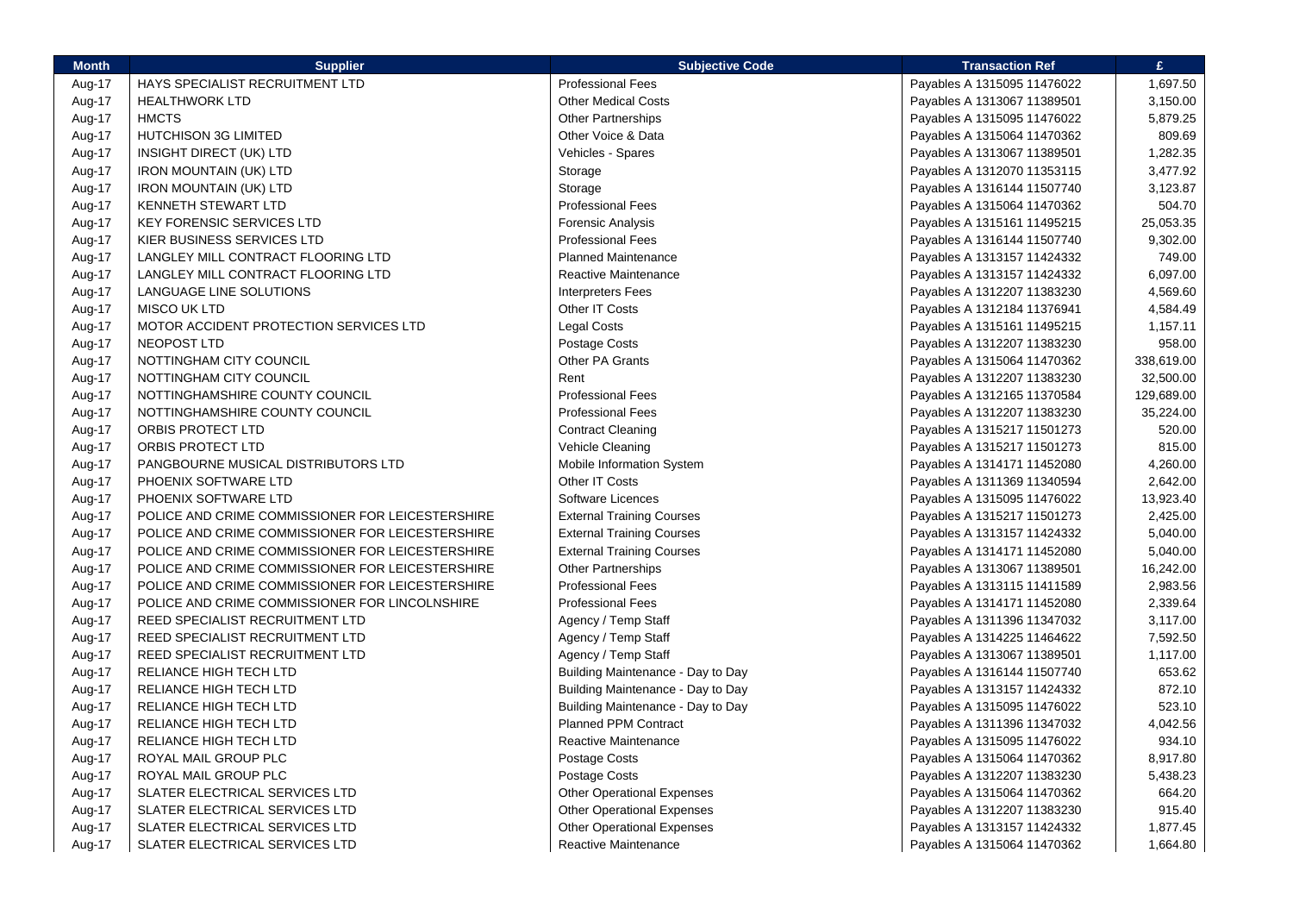| <b>Month</b> | <b>Supplier</b>                                  | <b>Subjective Code</b>            | <b>Transaction Ref</b>      | £.         |
|--------------|--------------------------------------------------|-----------------------------------|-----------------------------|------------|
| Aug-17       | HAYS SPECIALIST RECRUITMENT LTD                  | <b>Professional Fees</b>          | Payables A 1315095 11476022 | 1,697.50   |
| Aug-17       | <b>HEALTHWORK LTD</b>                            | <b>Other Medical Costs</b>        | Payables A 1313067 11389501 | 3,150.00   |
| Aug-17       | <b>HMCTS</b>                                     | <b>Other Partnerships</b>         | Payables A 1315095 11476022 | 5,879.25   |
| Aug-17       | <b>HUTCHISON 3G LIMITED</b>                      | Other Voice & Data                | Payables A 1315064 11470362 | 809.69     |
| Aug-17       | INSIGHT DIRECT (UK) LTD                          | Vehicles - Spares                 | Payables A 1313067 11389501 | 1,282.35   |
| Aug-17       | <b>IRON MOUNTAIN (UK) LTD</b>                    | Storage                           | Payables A 1312070 11353115 | 3,477.92   |
| Aug-17       | <b>IRON MOUNTAIN (UK) LTD</b>                    | Storage                           | Payables A 1316144 11507740 | 3,123.87   |
| Aug-17       | KENNETH STEWART LTD                              | <b>Professional Fees</b>          | Payables A 1315064 11470362 | 504.70     |
| Aug-17       | <b>KEY FORENSIC SERVICES LTD</b>                 | Forensic Analysis                 | Payables A 1315161 11495215 | 25,053.35  |
| Aug-17       | KIER BUSINESS SERVICES LTD                       | <b>Professional Fees</b>          | Payables A 1316144 11507740 | 9,302.00   |
| Aug-17       | LANGLEY MILL CONTRACT FLOORING LTD               | <b>Planned Maintenance</b>        | Payables A 1313157 11424332 | 749.00     |
| Aug-17       | LANGLEY MILL CONTRACT FLOORING LTD               | Reactive Maintenance              | Payables A 1313157 11424332 | 6,097.00   |
| Aug-17       | LANGUAGE LINE SOLUTIONS                          | <b>Interpreters Fees</b>          | Payables A 1312207 11383230 | 4,569.60   |
| Aug-17       | MISCO UK LTD                                     | Other IT Costs                    | Payables A 1312184 11376941 | 4,584.49   |
| Aug-17       | MOTOR ACCIDENT PROTECTION SERVICES LTD           | <b>Legal Costs</b>                | Payables A 1315161 11495215 | 1,157.11   |
| Aug-17       | <b>NEOPOST LTD</b>                               | Postage Costs                     | Payables A 1312207 11383230 | 958.00     |
| Aug-17       | NOTTINGHAM CITY COUNCIL                          | Other PA Grants                   | Payables A 1315064 11470362 | 338,619.00 |
| Aug-17       | NOTTINGHAM CITY COUNCIL                          | Rent                              | Payables A 1312207 11383230 | 32,500.00  |
| Aug-17       | NOTTINGHAMSHIRE COUNTY COUNCIL                   | <b>Professional Fees</b>          | Payables A 1312165 11370584 | 129,689.00 |
| Aug-17       | NOTTINGHAMSHIRE COUNTY COUNCIL                   | <b>Professional Fees</b>          | Payables A 1312207 11383230 | 35,224.00  |
| Aug-17       | ORBIS PROTECT LTD                                | <b>Contract Cleaning</b>          | Payables A 1315217 11501273 | 520.00     |
| Aug-17       | ORBIS PROTECT LTD                                | Vehicle Cleaning                  | Payables A 1315217 11501273 | 815.00     |
| Aug-17       | PANGBOURNE MUSICAL DISTRIBUTORS LTD              | Mobile Information System         | Payables A 1314171 11452080 | 4,260.00   |
| Aug-17       | PHOENIX SOFTWARE LTD                             | Other IT Costs                    | Payables A 1311369 11340594 | 2,642.00   |
| Aug-17       | PHOENIX SOFTWARE LTD                             | Software Licences                 | Payables A 1315095 11476022 | 13,923.40  |
| Aug-17       | POLICE AND CRIME COMMISSIONER FOR LEICESTERSHIRE | <b>External Training Courses</b>  | Payables A 1315217 11501273 | 2,425.00   |
| Aug-17       | POLICE AND CRIME COMMISSIONER FOR LEICESTERSHIRE | <b>External Training Courses</b>  | Payables A 1313157 11424332 | 5,040.00   |
| Aug-17       | POLICE AND CRIME COMMISSIONER FOR LEICESTERSHIRE | <b>External Training Courses</b>  | Payables A 1314171 11452080 | 5,040.00   |
| Aug-17       | POLICE AND CRIME COMMISSIONER FOR LEICESTERSHIRE | <b>Other Partnerships</b>         | Payables A 1313067 11389501 | 16,242.00  |
| Aug-17       | POLICE AND CRIME COMMISSIONER FOR LEICESTERSHIRE | <b>Professional Fees</b>          | Payables A 1313115 11411589 | 2,983.56   |
| Aug-17       | POLICE AND CRIME COMMISSIONER FOR LINCOLNSHIRE   | <b>Professional Fees</b>          | Payables A 1314171 11452080 | 2,339.64   |
| Aug-17       | REED SPECIALIST RECRUITMENT LTD                  | Agency / Temp Staff               | Payables A 1311396 11347032 | 3,117.00   |
| Aug-17       | REED SPECIALIST RECRUITMENT LTD                  | Agency / Temp Staff               | Payables A 1314225 11464622 | 7,592.50   |
| Aug-17       | REED SPECIALIST RECRUITMENT LTD                  | Agency / Temp Staff               | Payables A 1313067 11389501 | 1,117.00   |
| Aug-17       | RELIANCE HIGH TECH LTD                           | Building Maintenance - Day to Day | Payables A 1316144 11507740 | 653.62     |
| Aug-17       | RELIANCE HIGH TECH LTD                           | Building Maintenance - Day to Day | Payables A 1313157 11424332 | 872.10     |
| Aug-17       | RELIANCE HIGH TECH LTD                           | Building Maintenance - Day to Day | Payables A 1315095 11476022 | 523.10     |
| Aug-17       | RELIANCE HIGH TECH LTD                           | Planned PPM Contract              | Payables A 1311396 11347032 | 4,042.56   |
| Aug-17       | RELIANCE HIGH TECH LTD                           | Reactive Maintenance              | Payables A 1315095 11476022 | 934.10     |
| Aug-17       | ROYAL MAIL GROUP PLC                             | Postage Costs                     | Payables A 1315064 11470362 | 8,917.80   |
| Aug-17       | ROYAL MAIL GROUP PLC                             | Postage Costs                     | Payables A 1312207 11383230 | 5,438.23   |
| Aug-17       | <b>SLATER ELECTRICAL SERVICES LTD</b>            | <b>Other Operational Expenses</b> | Payables A 1315064 11470362 | 664.20     |
| Aug-17       | <b>SLATER ELECTRICAL SERVICES LTD</b>            | <b>Other Operational Expenses</b> | Payables A 1312207 11383230 | 915.40     |
| Aug-17       | SLATER ELECTRICAL SERVICES LTD                   | <b>Other Operational Expenses</b> | Payables A 1313157 11424332 | 1,877.45   |
| Aug-17       | SLATER ELECTRICAL SERVICES LTD                   | Reactive Maintenance              | Payables A 1315064 11470362 | 1,664.80   |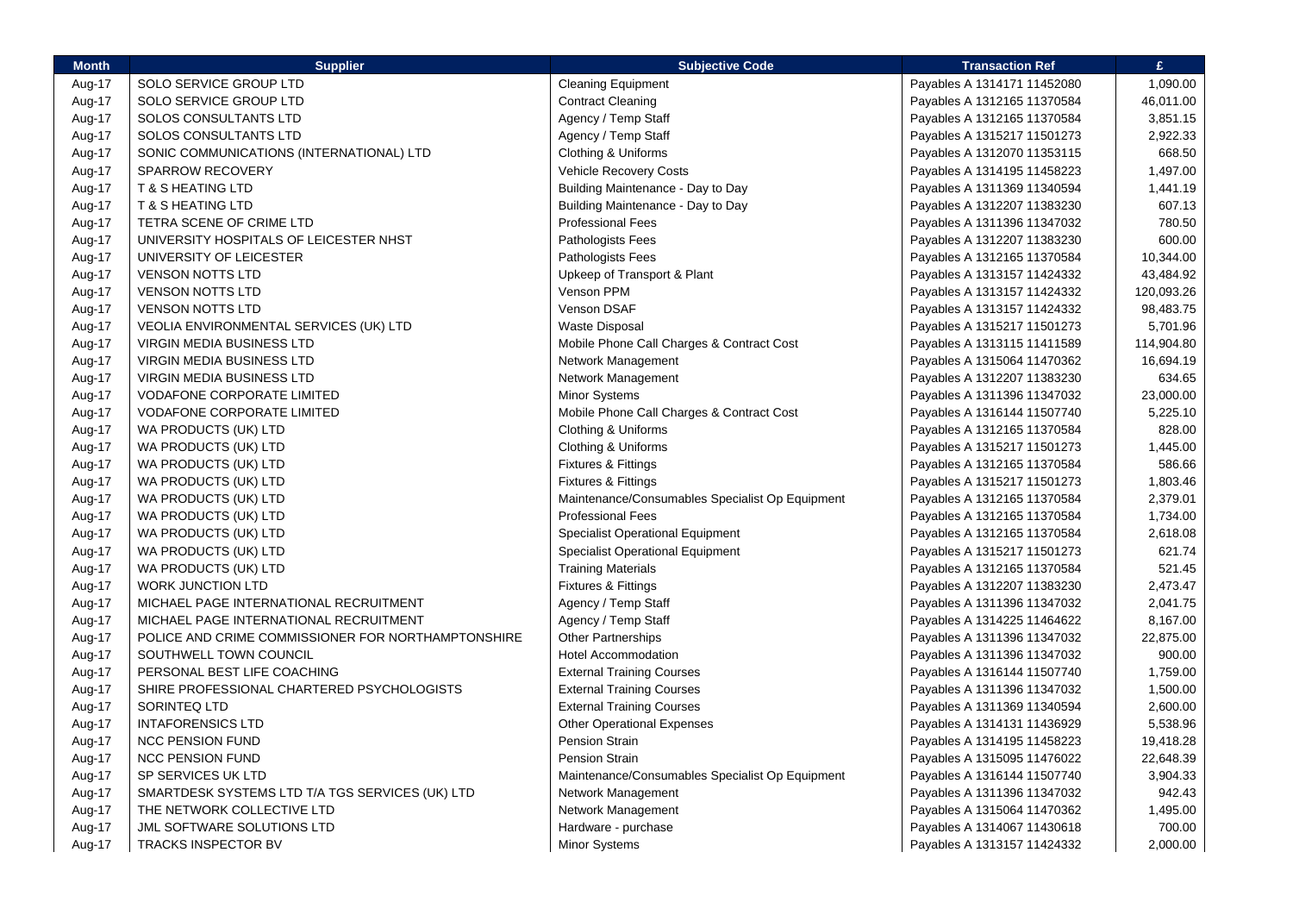| SOLO SERVICE GROUP LTD<br><b>Cleaning Equipment</b><br>1,090.00<br>Aug-17<br>Payables A 1314171 11452080<br>SOLO SERVICE GROUP LTD<br><b>Contract Cleaning</b><br>46,011.00<br>Aug-17<br>Payables A 1312165 11370584<br>SOLOS CONSULTANTS LTD<br>Agency / Temp Staff<br>3,851.15<br>Aug-17<br>Payables A 1312165 11370584<br>2,922.33<br>SOLOS CONSULTANTS LTD<br>Agency / Temp Staff<br>Aug-17<br>Payables A 1315217 11501273<br>SONIC COMMUNICATIONS (INTERNATIONAL) LTD<br>Clothing & Uniforms<br>Payables A 1312070 11353115<br>668.50<br>Aug-17<br><b>Vehicle Recovery Costs</b><br>1,497.00<br>Aug-17<br><b>SPARROW RECOVERY</b><br>Payables A 1314195 11458223<br>Aug-17<br><b>T &amp; S HEATING LTD</b><br>Building Maintenance - Day to Day<br>Payables A 1311369 11340594<br>1,441.19<br><b>T &amp; S HEATING LTD</b><br>Building Maintenance - Day to Day<br>607.13<br>Aug-17<br>Payables A 1312207 11383230<br><b>Professional Fees</b><br>780.50<br>Aug-17<br>TETRA SCENE OF CRIME LTD<br>Payables A 1311396 11347032<br>600.00<br>UNIVERSITY HOSPITALS OF LEICESTER NHST<br>Pathologists Fees<br>Aug-17<br>Payables A 1312207 11383230<br>Aug-17<br>UNIVERSITY OF LEICESTER<br>Pathologists Fees<br>10,344.00<br>Payables A 1312165 11370584<br>43,484.92<br>Aug-17<br><b>VENSON NOTTS LTD</b><br>Upkeep of Transport & Plant<br>Payables A 1313157 11424332<br>Venson PPM<br><b>VENSON NOTTS LTD</b><br>120,093.26<br>Aug-17<br>Payables A 1313157 11424332<br>Venson DSAF<br>98,483.75<br>Aug-17<br><b>VENSON NOTTS LTD</b><br>Payables A 1313157 11424332<br><b>Waste Disposal</b><br>5,701.96<br>Aug-17<br>VEOLIA ENVIRONMENTAL SERVICES (UK) LTD<br>Payables A 1315217 11501273<br>Mobile Phone Call Charges & Contract Cost<br>114,904.80<br>Aug-17<br>VIRGIN MEDIA BUSINESS LTD<br>Payables A 1313115 11411589<br><b>VIRGIN MEDIA BUSINESS LTD</b><br>Network Management<br>16,694.19<br>Aug-17<br>Payables A 1315064 11470362<br>VIRGIN MEDIA BUSINESS LTD<br>Network Management<br>634.65<br>Aug-17<br>Payables A 1312207 11383230<br>23,000.00<br>Aug-17<br><b>VODAFONE CORPORATE LIMITED</b><br><b>Minor Systems</b><br>Payables A 1311396 11347032<br>Mobile Phone Call Charges & Contract Cost<br>5,225.10<br>Aug-17<br><b>VODAFONE CORPORATE LIMITED</b><br>Payables A 1316144 11507740<br>WA PRODUCTS (UK) LTD<br>Clothing & Uniforms<br>828.00<br>Aug-17<br>Payables A 1312165 11370584<br>Clothing & Uniforms<br>1,445.00<br>Aug-17<br>WA PRODUCTS (UK) LTD<br>Payables A 1315217 11501273<br>WA PRODUCTS (UK) LTD<br><b>Fixtures &amp; Fittings</b><br>586.66<br>Aug-17<br>Payables A 1312165 11370584<br>Aug-17<br>WA PRODUCTS (UK) LTD<br><b>Fixtures &amp; Fittings</b><br>1,803.46<br>Payables A 1315217 11501273<br>Maintenance/Consumables Specialist Op Equipment<br>2,379.01<br>Aug-17<br>WA PRODUCTS (UK) LTD<br>Payables A 1312165 11370584<br><b>Professional Fees</b><br>WA PRODUCTS (UK) LTD<br>1,734.00<br>Aug-17<br>Payables A 1312165 11370584<br><b>Specialist Operational Equipment</b><br>Aug-17<br>WA PRODUCTS (UK) LTD<br>Payables A 1312165 11370584<br>2,618.08<br><b>Specialist Operational Equipment</b><br>621.74<br>Aug-17<br>WA PRODUCTS (UK) LTD<br>Payables A 1315217 11501273<br>WA PRODUCTS (UK) LTD<br><b>Training Materials</b><br>521.45<br>Aug-17<br>Payables A 1312165 11370584<br>2,473.47<br><b>WORK JUNCTION LTD</b><br><b>Fixtures &amp; Fittings</b><br>Aug-17<br>Payables A 1312207 11383230<br>MICHAEL PAGE INTERNATIONAL RECRUITMENT<br>Agency / Temp Staff<br>2,041.75<br>Aug-17<br>Payables A 1311396 11347032<br>MICHAEL PAGE INTERNATIONAL RECRUITMENT<br>Agency / Temp Staff<br>Aug-17<br>Payables A 1314225 11464622<br>8,167.00<br>Other Partnerships<br>22,875.00<br>Aug-17<br>POLICE AND CRIME COMMISSIONER FOR NORTHAMPTONSHIRE<br>Payables A 1311396 11347032<br>SOUTHWELL TOWN COUNCIL<br><b>Hotel Accommodation</b><br>900.00<br>Aug-17<br>Payables A 1311396 11347032<br>1,759.00<br>Aug-17<br>PERSONAL BEST LIFE COACHING<br><b>External Training Courses</b><br>Payables A 1316144 11507740<br>SHIRE PROFESSIONAL CHARTERED PSYCHOLOGISTS<br><b>External Training Courses</b><br>1,500.00<br>Aug-17<br>Payables A 1311396 11347032<br>Aug-17<br>SORINTEQ LTD<br><b>External Training Courses</b><br>2,600.00<br>Payables A 1311369 11340594<br>Aug-17<br><b>INTAFORENSICS LTD</b><br><b>Other Operational Expenses</b><br>Payables A 1314131 11436929<br>5,538.96<br><b>Pension Strain</b><br><b>NCC PENSION FUND</b><br>19,418.28<br>Aug-17<br>Payables A 1314195 11458223<br><b>Pension Strain</b><br>22,648.39<br>Aug-17<br><b>NCC PENSION FUND</b><br>Payables A 1315095 11476022<br>SP SERVICES UK LTD<br>Maintenance/Consumables Specialist Op Equipment<br>3,904.33<br>Aug-17<br>Payables A 1316144 11507740<br>SMARTDESK SYSTEMS LTD T/A TGS SERVICES (UK) LTD<br>Network Management<br>942.43<br>Aug-17<br>Payables A 1311396 11347032<br>THE NETWORK COLLECTIVE LTD<br>Network Management<br>1,495.00<br>Aug-17<br>Payables A 1315064 11470362<br>JML SOFTWARE SOLUTIONS LTD<br>Hardware - purchase<br>Payables A 1314067 11430618<br>700.00<br>Aug-17 | <b>Month</b> | <b>Supplier</b>     | <b>Subjective Code</b> | <b>Transaction Ref</b>      | £        |
|---------------------------------------------------------------------------------------------------------------------------------------------------------------------------------------------------------------------------------------------------------------------------------------------------------------------------------------------------------------------------------------------------------------------------------------------------------------------------------------------------------------------------------------------------------------------------------------------------------------------------------------------------------------------------------------------------------------------------------------------------------------------------------------------------------------------------------------------------------------------------------------------------------------------------------------------------------------------------------------------------------------------------------------------------------------------------------------------------------------------------------------------------------------------------------------------------------------------------------------------------------------------------------------------------------------------------------------------------------------------------------------------------------------------------------------------------------------------------------------------------------------------------------------------------------------------------------------------------------------------------------------------------------------------------------------------------------------------------------------------------------------------------------------------------------------------------------------------------------------------------------------------------------------------------------------------------------------------------------------------------------------------------------------------------------------------------------------------------------------------------------------------------------------------------------------------------------------------------------------------------------------------------------------------------------------------------------------------------------------------------------------------------------------------------------------------------------------------------------------------------------------------------------------------------------------------------------------------------------------------------------------------------------------------------------------------------------------------------------------------------------------------------------------------------------------------------------------------------------------------------------------------------------------------------------------------------------------------------------------------------------------------------------------------------------------------------------------------------------------------------------------------------------------------------------------------------------------------------------------------------------------------------------------------------------------------------------------------------------------------------------------------------------------------------------------------------------------------------------------------------------------------------------------------------------------------------------------------------------------------------------------------------------------------------------------------------------------------------------------------------------------------------------------------------------------------------------------------------------------------------------------------------------------------------------------------------------------------------------------------------------------------------------------------------------------------------------------------------------------------------------------------------------------------------------------------------------------------------------------------------------------------------------------------------------------------------------------------------------------------------------------------------------------------------------------------------------------------------------------------------------------------------------------------------------------------------------------------------------------------------------------------------------------------------------------------------------------------------------------------------------------------------------------------------------------------------------------------------------------------------------------------------------------------------------------------------------------------------------------------------------------------------------------------------------------------------------------------------------------------------------------------------------------|--------------|---------------------|------------------------|-----------------------------|----------|
|                                                                                                                                                                                                                                                                                                                                                                                                                                                                                                                                                                                                                                                                                                                                                                                                                                                                                                                                                                                                                                                                                                                                                                                                                                                                                                                                                                                                                                                                                                                                                                                                                                                                                                                                                                                                                                                                                                                                                                                                                                                                                                                                                                                                                                                                                                                                                                                                                                                                                                                                                                                                                                                                                                                                                                                                                                                                                                                                                                                                                                                                                                                                                                                                                                                                                                                                                                                                                                                                                                                                                                                                                                                                                                                                                                                                                                                                                                                                                                                                                                                                                                                                                                                                                                                                                                                                                                                                                                                                                                                                                                                                                                                                                                                                                                                                                                                                                                                                                                                                                                                                                                                                                               |              |                     |                        |                             |          |
|                                                                                                                                                                                                                                                                                                                                                                                                                                                                                                                                                                                                                                                                                                                                                                                                                                                                                                                                                                                                                                                                                                                                                                                                                                                                                                                                                                                                                                                                                                                                                                                                                                                                                                                                                                                                                                                                                                                                                                                                                                                                                                                                                                                                                                                                                                                                                                                                                                                                                                                                                                                                                                                                                                                                                                                                                                                                                                                                                                                                                                                                                                                                                                                                                                                                                                                                                                                                                                                                                                                                                                                                                                                                                                                                                                                                                                                                                                                                                                                                                                                                                                                                                                                                                                                                                                                                                                                                                                                                                                                                                                                                                                                                                                                                                                                                                                                                                                                                                                                                                                                                                                                                                               |              |                     |                        |                             |          |
|                                                                                                                                                                                                                                                                                                                                                                                                                                                                                                                                                                                                                                                                                                                                                                                                                                                                                                                                                                                                                                                                                                                                                                                                                                                                                                                                                                                                                                                                                                                                                                                                                                                                                                                                                                                                                                                                                                                                                                                                                                                                                                                                                                                                                                                                                                                                                                                                                                                                                                                                                                                                                                                                                                                                                                                                                                                                                                                                                                                                                                                                                                                                                                                                                                                                                                                                                                                                                                                                                                                                                                                                                                                                                                                                                                                                                                                                                                                                                                                                                                                                                                                                                                                                                                                                                                                                                                                                                                                                                                                                                                                                                                                                                                                                                                                                                                                                                                                                                                                                                                                                                                                                                               |              |                     |                        |                             |          |
|                                                                                                                                                                                                                                                                                                                                                                                                                                                                                                                                                                                                                                                                                                                                                                                                                                                                                                                                                                                                                                                                                                                                                                                                                                                                                                                                                                                                                                                                                                                                                                                                                                                                                                                                                                                                                                                                                                                                                                                                                                                                                                                                                                                                                                                                                                                                                                                                                                                                                                                                                                                                                                                                                                                                                                                                                                                                                                                                                                                                                                                                                                                                                                                                                                                                                                                                                                                                                                                                                                                                                                                                                                                                                                                                                                                                                                                                                                                                                                                                                                                                                                                                                                                                                                                                                                                                                                                                                                                                                                                                                                                                                                                                                                                                                                                                                                                                                                                                                                                                                                                                                                                                                               |              |                     |                        |                             |          |
|                                                                                                                                                                                                                                                                                                                                                                                                                                                                                                                                                                                                                                                                                                                                                                                                                                                                                                                                                                                                                                                                                                                                                                                                                                                                                                                                                                                                                                                                                                                                                                                                                                                                                                                                                                                                                                                                                                                                                                                                                                                                                                                                                                                                                                                                                                                                                                                                                                                                                                                                                                                                                                                                                                                                                                                                                                                                                                                                                                                                                                                                                                                                                                                                                                                                                                                                                                                                                                                                                                                                                                                                                                                                                                                                                                                                                                                                                                                                                                                                                                                                                                                                                                                                                                                                                                                                                                                                                                                                                                                                                                                                                                                                                                                                                                                                                                                                                                                                                                                                                                                                                                                                                               |              |                     |                        |                             |          |
|                                                                                                                                                                                                                                                                                                                                                                                                                                                                                                                                                                                                                                                                                                                                                                                                                                                                                                                                                                                                                                                                                                                                                                                                                                                                                                                                                                                                                                                                                                                                                                                                                                                                                                                                                                                                                                                                                                                                                                                                                                                                                                                                                                                                                                                                                                                                                                                                                                                                                                                                                                                                                                                                                                                                                                                                                                                                                                                                                                                                                                                                                                                                                                                                                                                                                                                                                                                                                                                                                                                                                                                                                                                                                                                                                                                                                                                                                                                                                                                                                                                                                                                                                                                                                                                                                                                                                                                                                                                                                                                                                                                                                                                                                                                                                                                                                                                                                                                                                                                                                                                                                                                                                               |              |                     |                        |                             |          |
|                                                                                                                                                                                                                                                                                                                                                                                                                                                                                                                                                                                                                                                                                                                                                                                                                                                                                                                                                                                                                                                                                                                                                                                                                                                                                                                                                                                                                                                                                                                                                                                                                                                                                                                                                                                                                                                                                                                                                                                                                                                                                                                                                                                                                                                                                                                                                                                                                                                                                                                                                                                                                                                                                                                                                                                                                                                                                                                                                                                                                                                                                                                                                                                                                                                                                                                                                                                                                                                                                                                                                                                                                                                                                                                                                                                                                                                                                                                                                                                                                                                                                                                                                                                                                                                                                                                                                                                                                                                                                                                                                                                                                                                                                                                                                                                                                                                                                                                                                                                                                                                                                                                                                               |              |                     |                        |                             |          |
|                                                                                                                                                                                                                                                                                                                                                                                                                                                                                                                                                                                                                                                                                                                                                                                                                                                                                                                                                                                                                                                                                                                                                                                                                                                                                                                                                                                                                                                                                                                                                                                                                                                                                                                                                                                                                                                                                                                                                                                                                                                                                                                                                                                                                                                                                                                                                                                                                                                                                                                                                                                                                                                                                                                                                                                                                                                                                                                                                                                                                                                                                                                                                                                                                                                                                                                                                                                                                                                                                                                                                                                                                                                                                                                                                                                                                                                                                                                                                                                                                                                                                                                                                                                                                                                                                                                                                                                                                                                                                                                                                                                                                                                                                                                                                                                                                                                                                                                                                                                                                                                                                                                                                               |              |                     |                        |                             |          |
|                                                                                                                                                                                                                                                                                                                                                                                                                                                                                                                                                                                                                                                                                                                                                                                                                                                                                                                                                                                                                                                                                                                                                                                                                                                                                                                                                                                                                                                                                                                                                                                                                                                                                                                                                                                                                                                                                                                                                                                                                                                                                                                                                                                                                                                                                                                                                                                                                                                                                                                                                                                                                                                                                                                                                                                                                                                                                                                                                                                                                                                                                                                                                                                                                                                                                                                                                                                                                                                                                                                                                                                                                                                                                                                                                                                                                                                                                                                                                                                                                                                                                                                                                                                                                                                                                                                                                                                                                                                                                                                                                                                                                                                                                                                                                                                                                                                                                                                                                                                                                                                                                                                                                               |              |                     |                        |                             |          |
|                                                                                                                                                                                                                                                                                                                                                                                                                                                                                                                                                                                                                                                                                                                                                                                                                                                                                                                                                                                                                                                                                                                                                                                                                                                                                                                                                                                                                                                                                                                                                                                                                                                                                                                                                                                                                                                                                                                                                                                                                                                                                                                                                                                                                                                                                                                                                                                                                                                                                                                                                                                                                                                                                                                                                                                                                                                                                                                                                                                                                                                                                                                                                                                                                                                                                                                                                                                                                                                                                                                                                                                                                                                                                                                                                                                                                                                                                                                                                                                                                                                                                                                                                                                                                                                                                                                                                                                                                                                                                                                                                                                                                                                                                                                                                                                                                                                                                                                                                                                                                                                                                                                                                               |              |                     |                        |                             |          |
|                                                                                                                                                                                                                                                                                                                                                                                                                                                                                                                                                                                                                                                                                                                                                                                                                                                                                                                                                                                                                                                                                                                                                                                                                                                                                                                                                                                                                                                                                                                                                                                                                                                                                                                                                                                                                                                                                                                                                                                                                                                                                                                                                                                                                                                                                                                                                                                                                                                                                                                                                                                                                                                                                                                                                                                                                                                                                                                                                                                                                                                                                                                                                                                                                                                                                                                                                                                                                                                                                                                                                                                                                                                                                                                                                                                                                                                                                                                                                                                                                                                                                                                                                                                                                                                                                                                                                                                                                                                                                                                                                                                                                                                                                                                                                                                                                                                                                                                                                                                                                                                                                                                                                               |              |                     |                        |                             |          |
|                                                                                                                                                                                                                                                                                                                                                                                                                                                                                                                                                                                                                                                                                                                                                                                                                                                                                                                                                                                                                                                                                                                                                                                                                                                                                                                                                                                                                                                                                                                                                                                                                                                                                                                                                                                                                                                                                                                                                                                                                                                                                                                                                                                                                                                                                                                                                                                                                                                                                                                                                                                                                                                                                                                                                                                                                                                                                                                                                                                                                                                                                                                                                                                                                                                                                                                                                                                                                                                                                                                                                                                                                                                                                                                                                                                                                                                                                                                                                                                                                                                                                                                                                                                                                                                                                                                                                                                                                                                                                                                                                                                                                                                                                                                                                                                                                                                                                                                                                                                                                                                                                                                                                               |              |                     |                        |                             |          |
|                                                                                                                                                                                                                                                                                                                                                                                                                                                                                                                                                                                                                                                                                                                                                                                                                                                                                                                                                                                                                                                                                                                                                                                                                                                                                                                                                                                                                                                                                                                                                                                                                                                                                                                                                                                                                                                                                                                                                                                                                                                                                                                                                                                                                                                                                                                                                                                                                                                                                                                                                                                                                                                                                                                                                                                                                                                                                                                                                                                                                                                                                                                                                                                                                                                                                                                                                                                                                                                                                                                                                                                                                                                                                                                                                                                                                                                                                                                                                                                                                                                                                                                                                                                                                                                                                                                                                                                                                                                                                                                                                                                                                                                                                                                                                                                                                                                                                                                                                                                                                                                                                                                                                               |              |                     |                        |                             |          |
|                                                                                                                                                                                                                                                                                                                                                                                                                                                                                                                                                                                                                                                                                                                                                                                                                                                                                                                                                                                                                                                                                                                                                                                                                                                                                                                                                                                                                                                                                                                                                                                                                                                                                                                                                                                                                                                                                                                                                                                                                                                                                                                                                                                                                                                                                                                                                                                                                                                                                                                                                                                                                                                                                                                                                                                                                                                                                                                                                                                                                                                                                                                                                                                                                                                                                                                                                                                                                                                                                                                                                                                                                                                                                                                                                                                                                                                                                                                                                                                                                                                                                                                                                                                                                                                                                                                                                                                                                                                                                                                                                                                                                                                                                                                                                                                                                                                                                                                                                                                                                                                                                                                                                               |              |                     |                        |                             |          |
|                                                                                                                                                                                                                                                                                                                                                                                                                                                                                                                                                                                                                                                                                                                                                                                                                                                                                                                                                                                                                                                                                                                                                                                                                                                                                                                                                                                                                                                                                                                                                                                                                                                                                                                                                                                                                                                                                                                                                                                                                                                                                                                                                                                                                                                                                                                                                                                                                                                                                                                                                                                                                                                                                                                                                                                                                                                                                                                                                                                                                                                                                                                                                                                                                                                                                                                                                                                                                                                                                                                                                                                                                                                                                                                                                                                                                                                                                                                                                                                                                                                                                                                                                                                                                                                                                                                                                                                                                                                                                                                                                                                                                                                                                                                                                                                                                                                                                                                                                                                                                                                                                                                                                               |              |                     |                        |                             |          |
|                                                                                                                                                                                                                                                                                                                                                                                                                                                                                                                                                                                                                                                                                                                                                                                                                                                                                                                                                                                                                                                                                                                                                                                                                                                                                                                                                                                                                                                                                                                                                                                                                                                                                                                                                                                                                                                                                                                                                                                                                                                                                                                                                                                                                                                                                                                                                                                                                                                                                                                                                                                                                                                                                                                                                                                                                                                                                                                                                                                                                                                                                                                                                                                                                                                                                                                                                                                                                                                                                                                                                                                                                                                                                                                                                                                                                                                                                                                                                                                                                                                                                                                                                                                                                                                                                                                                                                                                                                                                                                                                                                                                                                                                                                                                                                                                                                                                                                                                                                                                                                                                                                                                                               |              |                     |                        |                             |          |
|                                                                                                                                                                                                                                                                                                                                                                                                                                                                                                                                                                                                                                                                                                                                                                                                                                                                                                                                                                                                                                                                                                                                                                                                                                                                                                                                                                                                                                                                                                                                                                                                                                                                                                                                                                                                                                                                                                                                                                                                                                                                                                                                                                                                                                                                                                                                                                                                                                                                                                                                                                                                                                                                                                                                                                                                                                                                                                                                                                                                                                                                                                                                                                                                                                                                                                                                                                                                                                                                                                                                                                                                                                                                                                                                                                                                                                                                                                                                                                                                                                                                                                                                                                                                                                                                                                                                                                                                                                                                                                                                                                                                                                                                                                                                                                                                                                                                                                                                                                                                                                                                                                                                                               |              |                     |                        |                             |          |
|                                                                                                                                                                                                                                                                                                                                                                                                                                                                                                                                                                                                                                                                                                                                                                                                                                                                                                                                                                                                                                                                                                                                                                                                                                                                                                                                                                                                                                                                                                                                                                                                                                                                                                                                                                                                                                                                                                                                                                                                                                                                                                                                                                                                                                                                                                                                                                                                                                                                                                                                                                                                                                                                                                                                                                                                                                                                                                                                                                                                                                                                                                                                                                                                                                                                                                                                                                                                                                                                                                                                                                                                                                                                                                                                                                                                                                                                                                                                                                                                                                                                                                                                                                                                                                                                                                                                                                                                                                                                                                                                                                                                                                                                                                                                                                                                                                                                                                                                                                                                                                                                                                                                                               |              |                     |                        |                             |          |
|                                                                                                                                                                                                                                                                                                                                                                                                                                                                                                                                                                                                                                                                                                                                                                                                                                                                                                                                                                                                                                                                                                                                                                                                                                                                                                                                                                                                                                                                                                                                                                                                                                                                                                                                                                                                                                                                                                                                                                                                                                                                                                                                                                                                                                                                                                                                                                                                                                                                                                                                                                                                                                                                                                                                                                                                                                                                                                                                                                                                                                                                                                                                                                                                                                                                                                                                                                                                                                                                                                                                                                                                                                                                                                                                                                                                                                                                                                                                                                                                                                                                                                                                                                                                                                                                                                                                                                                                                                                                                                                                                                                                                                                                                                                                                                                                                                                                                                                                                                                                                                                                                                                                                               |              |                     |                        |                             |          |
|                                                                                                                                                                                                                                                                                                                                                                                                                                                                                                                                                                                                                                                                                                                                                                                                                                                                                                                                                                                                                                                                                                                                                                                                                                                                                                                                                                                                                                                                                                                                                                                                                                                                                                                                                                                                                                                                                                                                                                                                                                                                                                                                                                                                                                                                                                                                                                                                                                                                                                                                                                                                                                                                                                                                                                                                                                                                                                                                                                                                                                                                                                                                                                                                                                                                                                                                                                                                                                                                                                                                                                                                                                                                                                                                                                                                                                                                                                                                                                                                                                                                                                                                                                                                                                                                                                                                                                                                                                                                                                                                                                                                                                                                                                                                                                                                                                                                                                                                                                                                                                                                                                                                                               |              |                     |                        |                             |          |
|                                                                                                                                                                                                                                                                                                                                                                                                                                                                                                                                                                                                                                                                                                                                                                                                                                                                                                                                                                                                                                                                                                                                                                                                                                                                                                                                                                                                                                                                                                                                                                                                                                                                                                                                                                                                                                                                                                                                                                                                                                                                                                                                                                                                                                                                                                                                                                                                                                                                                                                                                                                                                                                                                                                                                                                                                                                                                                                                                                                                                                                                                                                                                                                                                                                                                                                                                                                                                                                                                                                                                                                                                                                                                                                                                                                                                                                                                                                                                                                                                                                                                                                                                                                                                                                                                                                                                                                                                                                                                                                                                                                                                                                                                                                                                                                                                                                                                                                                                                                                                                                                                                                                                               |              |                     |                        |                             |          |
|                                                                                                                                                                                                                                                                                                                                                                                                                                                                                                                                                                                                                                                                                                                                                                                                                                                                                                                                                                                                                                                                                                                                                                                                                                                                                                                                                                                                                                                                                                                                                                                                                                                                                                                                                                                                                                                                                                                                                                                                                                                                                                                                                                                                                                                                                                                                                                                                                                                                                                                                                                                                                                                                                                                                                                                                                                                                                                                                                                                                                                                                                                                                                                                                                                                                                                                                                                                                                                                                                                                                                                                                                                                                                                                                                                                                                                                                                                                                                                                                                                                                                                                                                                                                                                                                                                                                                                                                                                                                                                                                                                                                                                                                                                                                                                                                                                                                                                                                                                                                                                                                                                                                                               |              |                     |                        |                             |          |
|                                                                                                                                                                                                                                                                                                                                                                                                                                                                                                                                                                                                                                                                                                                                                                                                                                                                                                                                                                                                                                                                                                                                                                                                                                                                                                                                                                                                                                                                                                                                                                                                                                                                                                                                                                                                                                                                                                                                                                                                                                                                                                                                                                                                                                                                                                                                                                                                                                                                                                                                                                                                                                                                                                                                                                                                                                                                                                                                                                                                                                                                                                                                                                                                                                                                                                                                                                                                                                                                                                                                                                                                                                                                                                                                                                                                                                                                                                                                                                                                                                                                                                                                                                                                                                                                                                                                                                                                                                                                                                                                                                                                                                                                                                                                                                                                                                                                                                                                                                                                                                                                                                                                                               |              |                     |                        |                             |          |
|                                                                                                                                                                                                                                                                                                                                                                                                                                                                                                                                                                                                                                                                                                                                                                                                                                                                                                                                                                                                                                                                                                                                                                                                                                                                                                                                                                                                                                                                                                                                                                                                                                                                                                                                                                                                                                                                                                                                                                                                                                                                                                                                                                                                                                                                                                                                                                                                                                                                                                                                                                                                                                                                                                                                                                                                                                                                                                                                                                                                                                                                                                                                                                                                                                                                                                                                                                                                                                                                                                                                                                                                                                                                                                                                                                                                                                                                                                                                                                                                                                                                                                                                                                                                                                                                                                                                                                                                                                                                                                                                                                                                                                                                                                                                                                                                                                                                                                                                                                                                                                                                                                                                                               |              |                     |                        |                             |          |
|                                                                                                                                                                                                                                                                                                                                                                                                                                                                                                                                                                                                                                                                                                                                                                                                                                                                                                                                                                                                                                                                                                                                                                                                                                                                                                                                                                                                                                                                                                                                                                                                                                                                                                                                                                                                                                                                                                                                                                                                                                                                                                                                                                                                                                                                                                                                                                                                                                                                                                                                                                                                                                                                                                                                                                                                                                                                                                                                                                                                                                                                                                                                                                                                                                                                                                                                                                                                                                                                                                                                                                                                                                                                                                                                                                                                                                                                                                                                                                                                                                                                                                                                                                                                                                                                                                                                                                                                                                                                                                                                                                                                                                                                                                                                                                                                                                                                                                                                                                                                                                                                                                                                                               |              |                     |                        |                             |          |
|                                                                                                                                                                                                                                                                                                                                                                                                                                                                                                                                                                                                                                                                                                                                                                                                                                                                                                                                                                                                                                                                                                                                                                                                                                                                                                                                                                                                                                                                                                                                                                                                                                                                                                                                                                                                                                                                                                                                                                                                                                                                                                                                                                                                                                                                                                                                                                                                                                                                                                                                                                                                                                                                                                                                                                                                                                                                                                                                                                                                                                                                                                                                                                                                                                                                                                                                                                                                                                                                                                                                                                                                                                                                                                                                                                                                                                                                                                                                                                                                                                                                                                                                                                                                                                                                                                                                                                                                                                                                                                                                                                                                                                                                                                                                                                                                                                                                                                                                                                                                                                                                                                                                                               |              |                     |                        |                             |          |
|                                                                                                                                                                                                                                                                                                                                                                                                                                                                                                                                                                                                                                                                                                                                                                                                                                                                                                                                                                                                                                                                                                                                                                                                                                                                                                                                                                                                                                                                                                                                                                                                                                                                                                                                                                                                                                                                                                                                                                                                                                                                                                                                                                                                                                                                                                                                                                                                                                                                                                                                                                                                                                                                                                                                                                                                                                                                                                                                                                                                                                                                                                                                                                                                                                                                                                                                                                                                                                                                                                                                                                                                                                                                                                                                                                                                                                                                                                                                                                                                                                                                                                                                                                                                                                                                                                                                                                                                                                                                                                                                                                                                                                                                                                                                                                                                                                                                                                                                                                                                                                                                                                                                                               |              |                     |                        |                             |          |
|                                                                                                                                                                                                                                                                                                                                                                                                                                                                                                                                                                                                                                                                                                                                                                                                                                                                                                                                                                                                                                                                                                                                                                                                                                                                                                                                                                                                                                                                                                                                                                                                                                                                                                                                                                                                                                                                                                                                                                                                                                                                                                                                                                                                                                                                                                                                                                                                                                                                                                                                                                                                                                                                                                                                                                                                                                                                                                                                                                                                                                                                                                                                                                                                                                                                                                                                                                                                                                                                                                                                                                                                                                                                                                                                                                                                                                                                                                                                                                                                                                                                                                                                                                                                                                                                                                                                                                                                                                                                                                                                                                                                                                                                                                                                                                                                                                                                                                                                                                                                                                                                                                                                                               |              |                     |                        |                             |          |
|                                                                                                                                                                                                                                                                                                                                                                                                                                                                                                                                                                                                                                                                                                                                                                                                                                                                                                                                                                                                                                                                                                                                                                                                                                                                                                                                                                                                                                                                                                                                                                                                                                                                                                                                                                                                                                                                                                                                                                                                                                                                                                                                                                                                                                                                                                                                                                                                                                                                                                                                                                                                                                                                                                                                                                                                                                                                                                                                                                                                                                                                                                                                                                                                                                                                                                                                                                                                                                                                                                                                                                                                                                                                                                                                                                                                                                                                                                                                                                                                                                                                                                                                                                                                                                                                                                                                                                                                                                                                                                                                                                                                                                                                                                                                                                                                                                                                                                                                                                                                                                                                                                                                                               |              |                     |                        |                             |          |
|                                                                                                                                                                                                                                                                                                                                                                                                                                                                                                                                                                                                                                                                                                                                                                                                                                                                                                                                                                                                                                                                                                                                                                                                                                                                                                                                                                                                                                                                                                                                                                                                                                                                                                                                                                                                                                                                                                                                                                                                                                                                                                                                                                                                                                                                                                                                                                                                                                                                                                                                                                                                                                                                                                                                                                                                                                                                                                                                                                                                                                                                                                                                                                                                                                                                                                                                                                                                                                                                                                                                                                                                                                                                                                                                                                                                                                                                                                                                                                                                                                                                                                                                                                                                                                                                                                                                                                                                                                                                                                                                                                                                                                                                                                                                                                                                                                                                                                                                                                                                                                                                                                                                                               |              |                     |                        |                             |          |
|                                                                                                                                                                                                                                                                                                                                                                                                                                                                                                                                                                                                                                                                                                                                                                                                                                                                                                                                                                                                                                                                                                                                                                                                                                                                                                                                                                                                                                                                                                                                                                                                                                                                                                                                                                                                                                                                                                                                                                                                                                                                                                                                                                                                                                                                                                                                                                                                                                                                                                                                                                                                                                                                                                                                                                                                                                                                                                                                                                                                                                                                                                                                                                                                                                                                                                                                                                                                                                                                                                                                                                                                                                                                                                                                                                                                                                                                                                                                                                                                                                                                                                                                                                                                                                                                                                                                                                                                                                                                                                                                                                                                                                                                                                                                                                                                                                                                                                                                                                                                                                                                                                                                                               |              |                     |                        |                             |          |
|                                                                                                                                                                                                                                                                                                                                                                                                                                                                                                                                                                                                                                                                                                                                                                                                                                                                                                                                                                                                                                                                                                                                                                                                                                                                                                                                                                                                                                                                                                                                                                                                                                                                                                                                                                                                                                                                                                                                                                                                                                                                                                                                                                                                                                                                                                                                                                                                                                                                                                                                                                                                                                                                                                                                                                                                                                                                                                                                                                                                                                                                                                                                                                                                                                                                                                                                                                                                                                                                                                                                                                                                                                                                                                                                                                                                                                                                                                                                                                                                                                                                                                                                                                                                                                                                                                                                                                                                                                                                                                                                                                                                                                                                                                                                                                                                                                                                                                                                                                                                                                                                                                                                                               |              |                     |                        |                             |          |
|                                                                                                                                                                                                                                                                                                                                                                                                                                                                                                                                                                                                                                                                                                                                                                                                                                                                                                                                                                                                                                                                                                                                                                                                                                                                                                                                                                                                                                                                                                                                                                                                                                                                                                                                                                                                                                                                                                                                                                                                                                                                                                                                                                                                                                                                                                                                                                                                                                                                                                                                                                                                                                                                                                                                                                                                                                                                                                                                                                                                                                                                                                                                                                                                                                                                                                                                                                                                                                                                                                                                                                                                                                                                                                                                                                                                                                                                                                                                                                                                                                                                                                                                                                                                                                                                                                                                                                                                                                                                                                                                                                                                                                                                                                                                                                                                                                                                                                                                                                                                                                                                                                                                                               |              |                     |                        |                             |          |
|                                                                                                                                                                                                                                                                                                                                                                                                                                                                                                                                                                                                                                                                                                                                                                                                                                                                                                                                                                                                                                                                                                                                                                                                                                                                                                                                                                                                                                                                                                                                                                                                                                                                                                                                                                                                                                                                                                                                                                                                                                                                                                                                                                                                                                                                                                                                                                                                                                                                                                                                                                                                                                                                                                                                                                                                                                                                                                                                                                                                                                                                                                                                                                                                                                                                                                                                                                                                                                                                                                                                                                                                                                                                                                                                                                                                                                                                                                                                                                                                                                                                                                                                                                                                                                                                                                                                                                                                                                                                                                                                                                                                                                                                                                                                                                                                                                                                                                                                                                                                                                                                                                                                                               |              |                     |                        |                             |          |
|                                                                                                                                                                                                                                                                                                                                                                                                                                                                                                                                                                                                                                                                                                                                                                                                                                                                                                                                                                                                                                                                                                                                                                                                                                                                                                                                                                                                                                                                                                                                                                                                                                                                                                                                                                                                                                                                                                                                                                                                                                                                                                                                                                                                                                                                                                                                                                                                                                                                                                                                                                                                                                                                                                                                                                                                                                                                                                                                                                                                                                                                                                                                                                                                                                                                                                                                                                                                                                                                                                                                                                                                                                                                                                                                                                                                                                                                                                                                                                                                                                                                                                                                                                                                                                                                                                                                                                                                                                                                                                                                                                                                                                                                                                                                                                                                                                                                                                                                                                                                                                                                                                                                                               |              |                     |                        |                             |          |
|                                                                                                                                                                                                                                                                                                                                                                                                                                                                                                                                                                                                                                                                                                                                                                                                                                                                                                                                                                                                                                                                                                                                                                                                                                                                                                                                                                                                                                                                                                                                                                                                                                                                                                                                                                                                                                                                                                                                                                                                                                                                                                                                                                                                                                                                                                                                                                                                                                                                                                                                                                                                                                                                                                                                                                                                                                                                                                                                                                                                                                                                                                                                                                                                                                                                                                                                                                                                                                                                                                                                                                                                                                                                                                                                                                                                                                                                                                                                                                                                                                                                                                                                                                                                                                                                                                                                                                                                                                                                                                                                                                                                                                                                                                                                                                                                                                                                                                                                                                                                                                                                                                                                                               |              |                     |                        |                             |          |
|                                                                                                                                                                                                                                                                                                                                                                                                                                                                                                                                                                                                                                                                                                                                                                                                                                                                                                                                                                                                                                                                                                                                                                                                                                                                                                                                                                                                                                                                                                                                                                                                                                                                                                                                                                                                                                                                                                                                                                                                                                                                                                                                                                                                                                                                                                                                                                                                                                                                                                                                                                                                                                                                                                                                                                                                                                                                                                                                                                                                                                                                                                                                                                                                                                                                                                                                                                                                                                                                                                                                                                                                                                                                                                                                                                                                                                                                                                                                                                                                                                                                                                                                                                                                                                                                                                                                                                                                                                                                                                                                                                                                                                                                                                                                                                                                                                                                                                                                                                                                                                                                                                                                                               |              |                     |                        |                             |          |
|                                                                                                                                                                                                                                                                                                                                                                                                                                                                                                                                                                                                                                                                                                                                                                                                                                                                                                                                                                                                                                                                                                                                                                                                                                                                                                                                                                                                                                                                                                                                                                                                                                                                                                                                                                                                                                                                                                                                                                                                                                                                                                                                                                                                                                                                                                                                                                                                                                                                                                                                                                                                                                                                                                                                                                                                                                                                                                                                                                                                                                                                                                                                                                                                                                                                                                                                                                                                                                                                                                                                                                                                                                                                                                                                                                                                                                                                                                                                                                                                                                                                                                                                                                                                                                                                                                                                                                                                                                                                                                                                                                                                                                                                                                                                                                                                                                                                                                                                                                                                                                                                                                                                                               |              |                     |                        |                             |          |
|                                                                                                                                                                                                                                                                                                                                                                                                                                                                                                                                                                                                                                                                                                                                                                                                                                                                                                                                                                                                                                                                                                                                                                                                                                                                                                                                                                                                                                                                                                                                                                                                                                                                                                                                                                                                                                                                                                                                                                                                                                                                                                                                                                                                                                                                                                                                                                                                                                                                                                                                                                                                                                                                                                                                                                                                                                                                                                                                                                                                                                                                                                                                                                                                                                                                                                                                                                                                                                                                                                                                                                                                                                                                                                                                                                                                                                                                                                                                                                                                                                                                                                                                                                                                                                                                                                                                                                                                                                                                                                                                                                                                                                                                                                                                                                                                                                                                                                                                                                                                                                                                                                                                                               |              |                     |                        |                             |          |
|                                                                                                                                                                                                                                                                                                                                                                                                                                                                                                                                                                                                                                                                                                                                                                                                                                                                                                                                                                                                                                                                                                                                                                                                                                                                                                                                                                                                                                                                                                                                                                                                                                                                                                                                                                                                                                                                                                                                                                                                                                                                                                                                                                                                                                                                                                                                                                                                                                                                                                                                                                                                                                                                                                                                                                                                                                                                                                                                                                                                                                                                                                                                                                                                                                                                                                                                                                                                                                                                                                                                                                                                                                                                                                                                                                                                                                                                                                                                                                                                                                                                                                                                                                                                                                                                                                                                                                                                                                                                                                                                                                                                                                                                                                                                                                                                                                                                                                                                                                                                                                                                                                                                                               |              |                     |                        |                             |          |
|                                                                                                                                                                                                                                                                                                                                                                                                                                                                                                                                                                                                                                                                                                                                                                                                                                                                                                                                                                                                                                                                                                                                                                                                                                                                                                                                                                                                                                                                                                                                                                                                                                                                                                                                                                                                                                                                                                                                                                                                                                                                                                                                                                                                                                                                                                                                                                                                                                                                                                                                                                                                                                                                                                                                                                                                                                                                                                                                                                                                                                                                                                                                                                                                                                                                                                                                                                                                                                                                                                                                                                                                                                                                                                                                                                                                                                                                                                                                                                                                                                                                                                                                                                                                                                                                                                                                                                                                                                                                                                                                                                                                                                                                                                                                                                                                                                                                                                                                                                                                                                                                                                                                                               |              |                     |                        |                             |          |
|                                                                                                                                                                                                                                                                                                                                                                                                                                                                                                                                                                                                                                                                                                                                                                                                                                                                                                                                                                                                                                                                                                                                                                                                                                                                                                                                                                                                                                                                                                                                                                                                                                                                                                                                                                                                                                                                                                                                                                                                                                                                                                                                                                                                                                                                                                                                                                                                                                                                                                                                                                                                                                                                                                                                                                                                                                                                                                                                                                                                                                                                                                                                                                                                                                                                                                                                                                                                                                                                                                                                                                                                                                                                                                                                                                                                                                                                                                                                                                                                                                                                                                                                                                                                                                                                                                                                                                                                                                                                                                                                                                                                                                                                                                                                                                                                                                                                                                                                                                                                                                                                                                                                                               |              |                     |                        |                             |          |
|                                                                                                                                                                                                                                                                                                                                                                                                                                                                                                                                                                                                                                                                                                                                                                                                                                                                                                                                                                                                                                                                                                                                                                                                                                                                                                                                                                                                                                                                                                                                                                                                                                                                                                                                                                                                                                                                                                                                                                                                                                                                                                                                                                                                                                                                                                                                                                                                                                                                                                                                                                                                                                                                                                                                                                                                                                                                                                                                                                                                                                                                                                                                                                                                                                                                                                                                                                                                                                                                                                                                                                                                                                                                                                                                                                                                                                                                                                                                                                                                                                                                                                                                                                                                                                                                                                                                                                                                                                                                                                                                                                                                                                                                                                                                                                                                                                                                                                                                                                                                                                                                                                                                                               |              |                     |                        |                             |          |
|                                                                                                                                                                                                                                                                                                                                                                                                                                                                                                                                                                                                                                                                                                                                                                                                                                                                                                                                                                                                                                                                                                                                                                                                                                                                                                                                                                                                                                                                                                                                                                                                                                                                                                                                                                                                                                                                                                                                                                                                                                                                                                                                                                                                                                                                                                                                                                                                                                                                                                                                                                                                                                                                                                                                                                                                                                                                                                                                                                                                                                                                                                                                                                                                                                                                                                                                                                                                                                                                                                                                                                                                                                                                                                                                                                                                                                                                                                                                                                                                                                                                                                                                                                                                                                                                                                                                                                                                                                                                                                                                                                                                                                                                                                                                                                                                                                                                                                                                                                                                                                                                                                                                                               |              |                     |                        |                             |          |
|                                                                                                                                                                                                                                                                                                                                                                                                                                                                                                                                                                                                                                                                                                                                                                                                                                                                                                                                                                                                                                                                                                                                                                                                                                                                                                                                                                                                                                                                                                                                                                                                                                                                                                                                                                                                                                                                                                                                                                                                                                                                                                                                                                                                                                                                                                                                                                                                                                                                                                                                                                                                                                                                                                                                                                                                                                                                                                                                                                                                                                                                                                                                                                                                                                                                                                                                                                                                                                                                                                                                                                                                                                                                                                                                                                                                                                                                                                                                                                                                                                                                                                                                                                                                                                                                                                                                                                                                                                                                                                                                                                                                                                                                                                                                                                                                                                                                                                                                                                                                                                                                                                                                                               | Aug-17       | TRACKS INSPECTOR BV | <b>Minor Systems</b>   | Payables A 1313157 11424332 | 2,000.00 |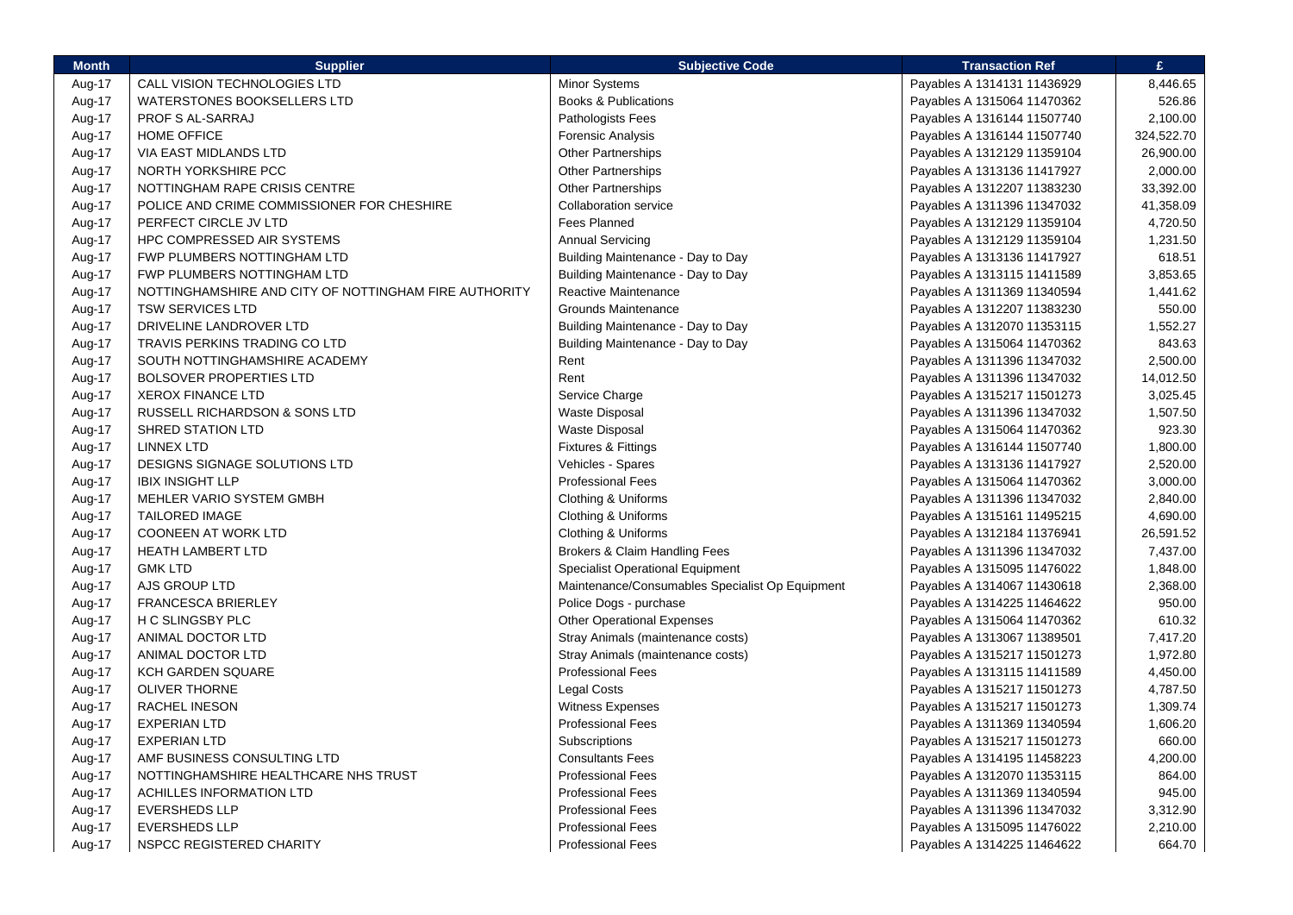| <b>Month</b> | <b>Supplier</b>                                       | <b>Subjective Code</b>                          | <b>Transaction Ref</b>      | £.         |
|--------------|-------------------------------------------------------|-------------------------------------------------|-----------------------------|------------|
| Aug-17       | CALL VISION TECHNOLOGIES LTD                          | <b>Minor Systems</b>                            | Payables A 1314131 11436929 | 8,446.65   |
| Aug-17       | <b>WATERSTONES BOOKSELLERS LTD</b>                    | <b>Books &amp; Publications</b>                 | Payables A 1315064 11470362 | 526.86     |
| Aug-17       | PROF S AL-SARRAJ                                      | Pathologists Fees                               | Payables A 1316144 11507740 | 2,100.00   |
| Aug-17       | <b>HOME OFFICE</b>                                    | <b>Forensic Analysis</b>                        | Payables A 1316144 11507740 | 324,522.70 |
| Aug-17       | VIA EAST MIDLANDS LTD                                 | <b>Other Partnerships</b>                       | Payables A 1312129 11359104 | 26,900.00  |
| Aug-17       | NORTH YORKSHIRE PCC                                   | <b>Other Partnerships</b>                       | Payables A 1313136 11417927 | 2,000.00   |
| Aug-17       | NOTTINGHAM RAPE CRISIS CENTRE                         | <b>Other Partnerships</b>                       | Payables A 1312207 11383230 | 33,392.00  |
| Aug-17       | POLICE AND CRIME COMMISSIONER FOR CHESHIRE            | <b>Collaboration service</b>                    | Payables A 1311396 11347032 | 41,358.09  |
| Aug-17       | PERFECT CIRCLE JV LTD                                 | <b>Fees Planned</b>                             | Payables A 1312129 11359104 | 4,720.50   |
| Aug-17       | HPC COMPRESSED AIR SYSTEMS                            | <b>Annual Servicing</b>                         | Payables A 1312129 11359104 | 1,231.50   |
| Aug-17       | FWP PLUMBERS NOTTINGHAM LTD                           | Building Maintenance - Day to Day               | Payables A 1313136 11417927 | 618.51     |
| Aug-17       | FWP PLUMBERS NOTTINGHAM LTD                           | Building Maintenance - Day to Day               | Payables A 1313115 11411589 | 3,853.65   |
| Aug-17       | NOTTINGHAMSHIRE AND CITY OF NOTTINGHAM FIRE AUTHORITY | Reactive Maintenance                            | Payables A 1311369 11340594 | 1,441.62   |
| Aug-17       | <b>TSW SERVICES LTD</b>                               | <b>Grounds Maintenance</b>                      | Payables A 1312207 11383230 | 550.00     |
| Aug-17       | DRIVELINE LANDROVER LTD                               | Building Maintenance - Day to Day               | Payables A 1312070 11353115 | 1,552.27   |
| Aug-17       | TRAVIS PERKINS TRADING CO LTD                         | Building Maintenance - Day to Day               | Payables A 1315064 11470362 | 843.63     |
| Aug-17       | SOUTH NOTTINGHAMSHIRE ACADEMY                         | Rent                                            | Payables A 1311396 11347032 | 2,500.00   |
| Aug-17       | BOLSOVER PROPERTIES LTD                               | Rent                                            | Payables A 1311396 11347032 | 14,012.50  |
| Aug-17       | <b>XEROX FINANCE LTD</b>                              | Service Charge                                  | Payables A 1315217 11501273 | 3,025.45   |
| Aug-17       | RUSSELL RICHARDSON & SONS LTD                         | <b>Waste Disposal</b>                           | Payables A 1311396 11347032 | 1,507.50   |
| Aug-17       | <b>SHRED STATION LTD</b>                              | <b>Waste Disposal</b>                           | Payables A 1315064 11470362 | 923.30     |
| Aug-17       | <b>LINNEX LTD</b>                                     | <b>Fixtures &amp; Fittings</b>                  | Payables A 1316144 11507740 | 1,800.00   |
| Aug-17       | DESIGNS SIGNAGE SOLUTIONS LTD                         | Vehicles - Spares                               | Payables A 1313136 11417927 | 2,520.00   |
| Aug-17       | <b>IBIX INSIGHT LLP</b>                               | <b>Professional Fees</b>                        | Payables A 1315064 11470362 | 3,000.00   |
| Aug-17       | MEHLER VARIO SYSTEM GMBH                              | Clothing & Uniforms                             | Payables A 1311396 11347032 | 2,840.00   |
| Aug-17       | <b>TAILORED IMAGE</b>                                 | Clothing & Uniforms                             | Payables A 1315161 11495215 | 4,690.00   |
| Aug-17       | <b>COONEEN AT WORK LTD</b>                            | Clothing & Uniforms                             | Payables A 1312184 11376941 | 26,591.52  |
| Aug-17       | <b>HEATH LAMBERT LTD</b>                              | Brokers & Claim Handling Fees                   | Payables A 1311396 11347032 | 7,437.00   |
| Aug-17       | <b>GMK LTD</b>                                        | Specialist Operational Equipment                | Payables A 1315095 11476022 | 1,848.00   |
| Aug-17       | AJS GROUP LTD                                         | Maintenance/Consumables Specialist Op Equipment | Payables A 1314067 11430618 | 2,368.00   |
| Aug-17       | <b>FRANCESCA BRIERLEY</b>                             | Police Dogs - purchase                          | Payables A 1314225 11464622 | 950.00     |
| Aug-17       | H C SLINGSBY PLC                                      | <b>Other Operational Expenses</b>               | Payables A 1315064 11470362 | 610.32     |
| Aug-17       | ANIMAL DOCTOR LTD                                     | Stray Animals (maintenance costs)               | Payables A 1313067 11389501 | 7,417.20   |
| Aug-17       | ANIMAL DOCTOR LTD                                     | Stray Animals (maintenance costs)               | Payables A 1315217 11501273 | 1,972.80   |
| Aug-17       | <b>KCH GARDEN SQUARE</b>                              | <b>Professional Fees</b>                        | Payables A 1313115 11411589 | 4,450.00   |
| Aug-17       | <b>OLIVER THORNE</b>                                  | Legal Costs                                     | Payables A 1315217 11501273 | 4,787.50   |
| Aug-17       | RACHEL INESON                                         | <b>Witness Expenses</b>                         | Payables A 1315217 11501273 | 1,309.74   |
| Aug-17       | <b>EXPERIAN LTD</b>                                   | <b>Professional Fees</b>                        | Payables A 1311369 11340594 | 1,606.20   |
| Aug-17       | <b>EXPERIAN LTD</b>                                   | Subscriptions                                   | Payables A 1315217 11501273 | 660.00     |
| Aug-17       | AMF BUSINESS CONSULTING LTD                           | <b>Consultants Fees</b>                         | Payables A 1314195 11458223 | 4,200.00   |
| Aug-17       | NOTTINGHAMSHIRE HEALTHCARE NHS TRUST                  | <b>Professional Fees</b>                        | Payables A 1312070 11353115 | 864.00     |
| Aug-17       | <b>ACHILLES INFORMATION LTD</b>                       | <b>Professional Fees</b>                        | Payables A 1311369 11340594 | 945.00     |
| Aug-17       | <b>EVERSHEDS LLP</b>                                  | <b>Professional Fees</b>                        | Payables A 1311396 11347032 | 3,312.90   |
| Aug-17       | <b>EVERSHEDS LLP</b>                                  | <b>Professional Fees</b>                        | Payables A 1315095 11476022 | 2,210.00   |
| Aug-17       | NSPCC REGISTERED CHARITY                              | <b>Professional Fees</b>                        | Payables A 1314225 11464622 | 664.70     |